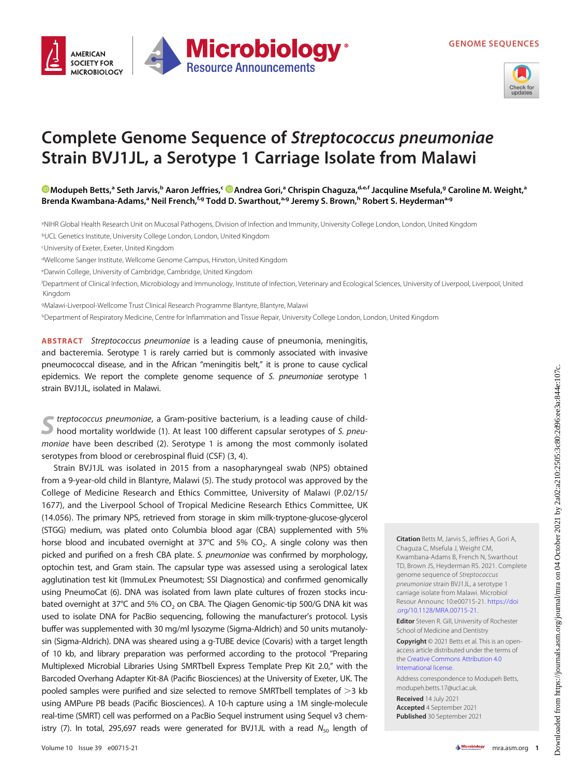





## Complete Genome Sequence of Streptococcus pneumoniae Strain BVJ1JL, a Serotype 1 Carriage Isolate from Malawi

**Microbiology** 

**Resource Announcements** 

[Modupeh Betts](https://orcid.org/0000-0003-0083-7487),ª Seth Jarvis,<sup>b</sup> Aaron Jeffries,<sup>c </sup>®[Andrea Gori](https://orcid.org/0000-0003-0931-0454),ª Chrispin Chaguza,<sup>d.e.f</sup> Jacquline Msefula,ª Caroline M. Weight,ª Brenda Kwambana-Adams,<sup>a</sup> Neil French,<sup>f,g</sup> Todd D. Swarthout,<sup>a,g</sup> Jeremy S. Brown,<sup>h</sup> Robert S. Heyderman<sup>a,g</sup>

a NIHR Global Health Research Unit on Mucosal Pathogens, Division of Infection and Immunity, University College London, London, United Kingdom

bUCL Genetics Institute, University College London, London, United Kingdom

cUniversity of Exeter, Exeter, United Kingdom

dWellcome Sanger Institute, Wellcome Genome Campus, Hinxton, United Kingdom

eDarwin College, University of Cambridge, Cambridge, United Kingdom

f Department of Clinical Infection, Microbiology and Immunology, Institute of Infection, Veterinary and Ecological Sciences, University of Liverpool, Liverpool, United Kingdom

gMalawi-Liverpool-Wellcome Trust Clinical Research Programme Blantyre, Blantyre, Malawi

hDepartment of Respiratory Medicine, Centre for Inflammation and Tissue Repair, University College London, London, United Kingdom

ABSTRACT Streptococcus pneumoniae is a leading cause of pneumonia, meningitis, and bacteremia. Serotype 1 is rarely carried but is commonly associated with invasive pneumococcal disease, and in the African "meningitis belt," it is prone to cause cyclical epidemics. We report the complete genome sequence of S. pneumoniae serotype 1 strain BVJ1JL, isolated in Malawi.

treptococcus pneumoniae, a Gram-positive bacterium, is a leading cause of childhood mortality worldwide [\(1\)](#page-1-0). At least 100 different capsular serotypes of S. pneumoniae have been described ([2](#page-1-1)). Serotype 1 is among the most commonly isolated serotypes from blood or cerebrospinal fluid (CSF) [\(3,](#page-1-2) [4](#page-1-3)).

Strain BVJ1JL was isolated in 2015 from a nasopharyngeal swab (NPS) obtained from a 9-year-old child in Blantyre, Malawi [\(5\)](#page-1-4). The study protocol was approved by the College of Medicine Research and Ethics Committee, University of Malawi (P.02/15/ 1677), and the Liverpool School of Tropical Medicine Research Ethics Committee, UK (14.056). The primary NPS, retrieved from storage in skim milk-tryptone-glucose-glycerol (STGG) medium, was plated onto Columbia blood agar (CBA) supplemented with 5% horse blood and incubated overnight at  $37^{\circ}$ C and  $5\%$  CO<sub>2</sub>. A single colony was then picked and purified on a fresh CBA plate. S. pneumoniae was confirmed by morphology, optochin test, and Gram stain. The capsular type was assessed using a serological latex agglutination test kit (ImmuLex Pneumotest; SSI Diagnostica) and confirmed genomically using PneumoCat ([6](#page-2-0)). DNA was isolated from lawn plate cultures of frozen stocks incubated overnight at 37°C and 5% CO<sub>2</sub> on CBA. The Qiagen Genomic-tip 500/G DNA kit was used to isolate DNA for PacBio sequencing, following the manufacturer's protocol. Lysis buffer was supplemented with 30 mg/ml lysozyme (Sigma-Aldrich) and 50 units mutanolysin (Sigma-Aldrich). DNA was sheared using a g-TUBE device (Covaris) with a target length of 10 kb, and library preparation was performed according to the protocol "Preparing Multiplexed Microbial Libraries Using SMRTbell Express Template Prep Kit 2.0," with the Barcoded Overhang Adapter Kit-8A (Pacific Biosciences) at the University of Exeter, UK. The pooled samples were purified and size selected to remove SMRTbell templates of  $>$ 3 kb using AMPure PB beads (Pacific Biosciences). A 10-h capture using a 1M single-molecule real-time (SMRT) cell was performed on a PacBio Sequel instrument using Sequel v3 chem-istry [\(7\)](#page-2-1). In total, 295,697 reads were generated for BVJ1JL with a read  $N_{50}$  length of

Citation Betts M, Jarvis S, Jeffries A, Gori A, Chaguza C, Msefula J, Weight CM, Kwambana-Adams B, French N, Swarthout TD, Brown JS, Heyderman RS. 2021. Complete genome sequence of Streptococcus pneumoniae strain BVJ1JL, a serotype 1 carriage isolate from Malawi. Microbiol Resour Announc 10:e00715-21. [https://doi](https://doi.org/10.1128/MRA.00715-21) [.org/10.1128/MRA.00715-21](https://doi.org/10.1128/MRA.00715-21).

Editor Steven R. Gill, University of Rochester School of Medicine and Dentistry

Copyright © 2021 Betts et al. This is an openaccess article distributed under the terms of the [Creative Commons Attribution 4.0](https://creativecommons.org/licenses/by/4.0/) [International license](https://creativecommons.org/licenses/by/4.0/).

Address correspondence to Modupeh Betts, modupeh.betts.17@ucl.ac.uk.

Received 14 July 2021 Accepted 4 September 2021 Published 30 September 2021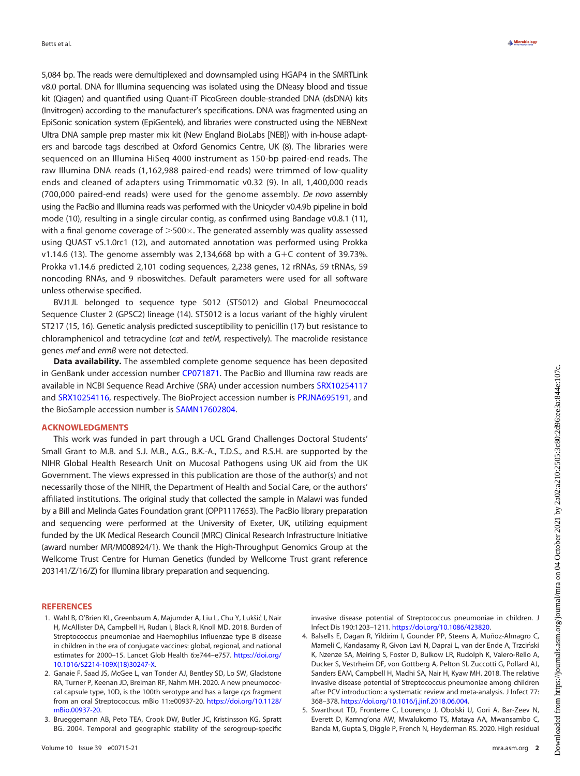5,084 bp. The reads were demultiplexed and downsampled using HGAP4 in the SMRTLink v8.0 portal. DNA for Illumina sequencing was isolated using the DNeasy blood and tissue kit (Qiagen) and quantified using Quant-iT PicoGreen double-stranded DNA (dsDNA) kits (Invitrogen) according to the manufacturer's specifications. DNA was fragmented using an EpiSonic sonication system (EpiGentek), and libraries were constructed using the NEBNext Ultra DNA sample prep master mix kit (New England BioLabs [NEB]) with in-house adapters and barcode tags described at Oxford Genomics Centre, UK [\(8\)](#page-2-2). The libraries were sequenced on an Illumina HiSeq 4000 instrument as 150-bp paired-end reads. The raw Illumina DNA reads (1,162,988 paired-end reads) were trimmed of low-quality ends and cleaned of adapters using Trimmomatic v0.32 [\(9](#page-2-3)). In all, 1,400,000 reads (700,000 paired-end reads) were used for the genome assembly. De novo assembly using the PacBio and Illumina reads was performed with the Unicycler v0.4.9b pipeline in bold mode [\(10](#page-2-4)), resulting in a single circular contig, as confirmed using Bandage v0.8.1 [\(11\)](#page-2-5), with a final genome coverage of  $>500\times$ . The generated assembly was quality assessed using QUAST v5.1.0rc1 [\(12](#page-2-6)), and automated annotation was performed using Prokka v1.14.6 [\(13](#page-2-7)). The genome assembly was 2,134,668 bp with a  $G+C$  content of 39.73%. Prokka v1.14.6 predicted 2,101 coding sequences, 2,238 genes, 12 rRNAs, 59 tRNAs, 59 noncoding RNAs, and 9 riboswitches. Default parameters were used for all software unless otherwise specified.

BVJ1JL belonged to sequence type 5012 (ST5012) and Global Pneumococcal Sequence Cluster 2 (GPSC2) lineage [\(14](#page-2-8)). ST5012 is a locus variant of the highly virulent ST217 [\(15](#page-2-9), [16](#page-2-10)). Genetic analysis predicted susceptibility to penicillin [\(17](#page-2-11)) but resistance to chloramphenicol and tetracycline (cat and tetM, respectively). The macrolide resistance genes mef and ermB were not detected.

Data availability. The assembled complete genome sequence has been deposited in GenBank under accession number [CP071871.](https://www.ncbi.nlm.nih.gov/nuccore/CP071871) The PacBio and Illumina raw reads are available in NCBI Sequence Read Archive (SRA) under accession numbers [SRX10254117](https://www.ncbi.nlm.nih.gov/sra/SRX10254117) and [SRX10254116](https://www.ncbi.nlm.nih.gov/sra/SRX10254116), respectively. The BioProject accession number is [PRJNA695191](https://www.ncbi.nlm.nih.gov/bioproject/PRJNA695191), and the BioSample accession number is [SAMN17602804.](https://www.ncbi.nlm.nih.gov/biosample/SAMN17602804)

## ACKNOWLEDGMENTS

This work was funded in part through a UCL Grand Challenges Doctoral Students' Small Grant to M.B. and S.J. M.B., A.G., B.K.-A., T.D.S., and R.S.H. are supported by the NIHR Global Health Research Unit on Mucosal Pathogens using UK aid from the UK Government. The views expressed in this publication are those of the author(s) and not necessarily those of the NIHR, the Department of Health and Social Care, or the authors' affiliated institutions. The original study that collected the sample in Malawi was funded by a Bill and Melinda Gates Foundation grant (OPP1117653). The PacBio library preparation and sequencing were performed at the University of Exeter, UK, utilizing equipment funded by the UK Medical Research Council (MRC) Clinical Research Infrastructure Initiative (award number MR/M008924/1). We thank the High-Throughput Genomics Group at the Wellcome Trust Centre for Human Genetics (funded by Wellcome Trust grant reference 203141/Z/16/Z) for Illumina library preparation and sequencing.

## **REFERENCES**

- <span id="page-1-0"></span>1. Wahl B, O'Brien KL, Greenbaum A, Majumder A, Liu L, Chu Y, Lukšic I, Nair H, McAllister DA, Campbell H, Rudan I, Black R, Knoll MD. 2018. Burden of Streptococcus pneumoniae and Haemophilus influenzae type B disease in children in the era of conjugate vaccines: global, regional, and national estimates for 2000–15. Lancet Glob Health 6:e744–e757. [https://doi.org/](https://doi.org/10.1016/S2214-109X(18)30247-X) [10.1016/S2214-109X\(18\)30247-X](https://doi.org/10.1016/S2214-109X(18)30247-X).
- <span id="page-1-1"></span>2. Ganaie F, Saad JS, McGee L, van Tonder AJ, Bentley SD, Lo SW, Gladstone RA, Turner P, Keenan JD, Breiman RF, Nahm MH. 2020. A new pneumococcal capsule type, 10D, is the 100th serotype and has a large cps fragment from an oral Streptococcus. mBio 11:e00937-20. [https://doi.org/10.1128/](https://doi.org/10.1128/mBio.00937-20) [mBio.00937-20](https://doi.org/10.1128/mBio.00937-20).
- <span id="page-1-2"></span>3. Brueggemann AB, Peto TEA, Crook DW, Butler JC, Kristinsson KG, Spratt BG. 2004. Temporal and geographic stability of the serogroup-specific

invasive disease potential of Streptococcus pneumoniae in children. J Infect Dis 190:1203–1211. [https://doi.org/10.1086/423820.](https://doi.org/10.1086/423820)

- <span id="page-1-3"></span>4. Balsells E, Dagan R, Yildirim I, Gounder PP, Steens A, Muñoz-Almagro C, Mameli C, Kandasamy R, Givon Lavi N, Daprai L, van der Ende A, Trzciński K, Nzenze SA, Meiring S, Foster D, Bulkow LR, Rudolph K, Valero-Rello A, Ducker S, Vestrheim DF, von Gottberg A, Pelton SI, Zuccotti G, Pollard AJ, Sanders EAM, Campbell H, Madhi SA, Nair H, Kyaw MH. 2018. The relative invasive disease potential of Streptococcus pneumoniae among children after PCV introduction: a systematic review and meta-analysis. J Infect 77: 368–378. [https://doi.org/10.1016/j.jinf.2018.06.004.](https://doi.org/10.1016/j.jinf.2018.06.004)
- <span id="page-1-4"></span>5. Swarthout TD, Fronterre C, Lourenço J, Obolski U, Gori A, Bar-Zeev N, Everett D, Kamng'ona AW, Mwalukomo TS, Mataya AA, Mwansambo C, Banda M, Gupta S, Diggle P, French N, Heyderman RS. 2020. High residual